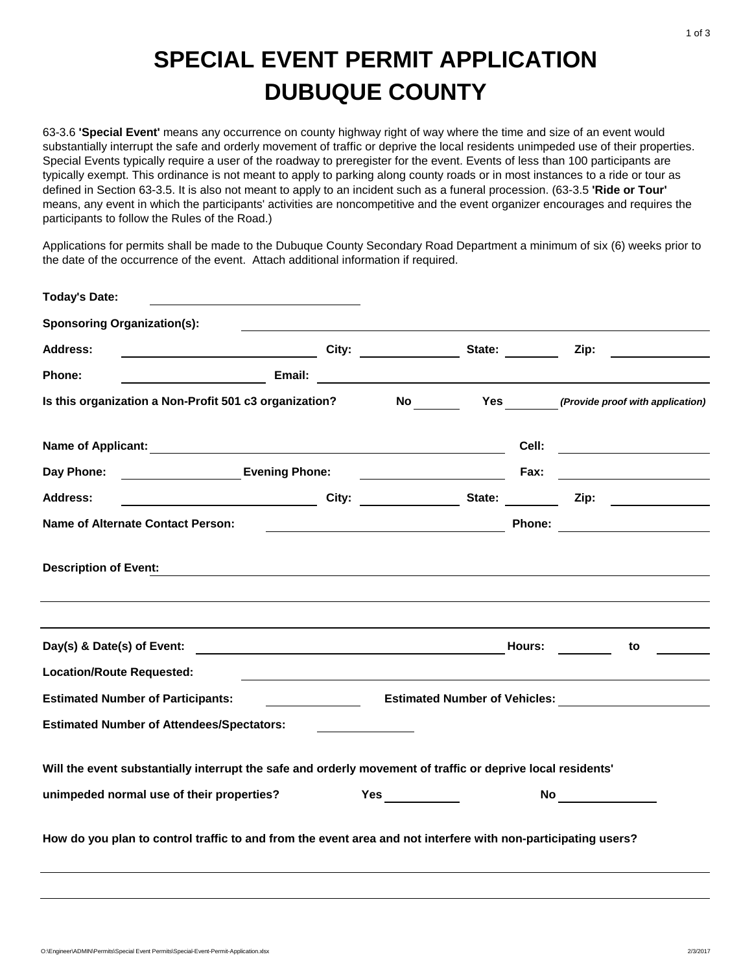## **SPECIAL EVENT PERMIT APPLICATION DUBUQUE COUNTY**

63-3.6 **'Special Event'** means any occurrence on county highway right of way where the time and size of an event would substantially interrupt the safe and orderly movement of traffic or deprive the local residents unimpeded use of their properties. Special Events typically require a user of the roadway to preregister for the event. Events of less than 100 participants are typically exempt. This ordinance is not meant to apply to parking along county roads or in most instances to a ride or tour as defined in Section 63-3.5. It is also not meant to apply to an incident such as a funeral procession. (63-3.5 **'Ride or Tour'**  means, any event in which the participants' activities are noncompetitive and the event organizer encourages and requires the participants to follow the Rules of the Road.)

Applications for permits shall be made to the Dubuque County Secondary Road Department a minimum of six (6) weeks prior to the date of the occurrence of the event. Attach additional information if required.

| <b>Today's Date:</b>                                                                                          |                                      |  |  |      |                                                                                                                                                                                                                                                                                                          |
|---------------------------------------------------------------------------------------------------------------|--------------------------------------|--|--|------|----------------------------------------------------------------------------------------------------------------------------------------------------------------------------------------------------------------------------------------------------------------------------------------------------------|
| <b>Sponsoring Organization(s):</b>                                                                            |                                      |  |  |      |                                                                                                                                                                                                                                                                                                          |
| <b>City:</b> City: City: State:<br><b>Address:</b>                                                            |                                      |  |  |      | Zip:                                                                                                                                                                                                                                                                                                     |
| Phone:                                                                                                        |                                      |  |  |      |                                                                                                                                                                                                                                                                                                          |
| Is this organization a Non-Profit 501 c3 organization? No Yes (Provide proof with application)                |                                      |  |  |      |                                                                                                                                                                                                                                                                                                          |
|                                                                                                               |                                      |  |  |      |                                                                                                                                                                                                                                                                                                          |
|                                                                                                               |                                      |  |  | Fax: | <u> 1989 - Johann Stein, fransk kanton og f</u>                                                                                                                                                                                                                                                          |
| <b>Address:</b>                                                                                               |                                      |  |  |      | City: City: City: State: Zip: Zip:                                                                                                                                                                                                                                                                       |
| Name of Alternate Contact Person:                                                                             |                                      |  |  |      | <b>Example 2008 Phone:</b> Phone: 2008 <b>Phone:</b> 2008 <b>Phone:</b> 2008 <b>Phone:</b> 2008 <b>Phone:</b> 2008 <b>Phone:</b> 2008 <b>Phone:</b> 2008 <b>Phone:</b> 2008 <b>Phone:</b> 2008 <b>Phone:</b> 2008 <b>Phone:</b> 2008 <b>Phone:</b> 2008 <b>Phone:</b> 2008 <b>Phone:</b> 2008 <b>Pho</b> |
| <b>Description of Event:</b>                                                                                  |                                      |  |  |      |                                                                                                                                                                                                                                                                                                          |
|                                                                                                               |                                      |  |  |      | to                                                                                                                                                                                                                                                                                                       |
| <b>Location/Route Requested:</b>                                                                              |                                      |  |  |      |                                                                                                                                                                                                                                                                                                          |
| <b>Estimated Number of Participants:</b>                                                                      | <b>Estimated Number of Vehicles:</b> |  |  |      |                                                                                                                                                                                                                                                                                                          |
| <b>Estimated Number of Attendees/Spectators:</b>                                                              |                                      |  |  |      |                                                                                                                                                                                                                                                                                                          |
| Will the event substantially interrupt the safe and orderly movement of traffic or deprive local residents'   |                                      |  |  |      |                                                                                                                                                                                                                                                                                                          |
| unimpeded normal use of their properties?                                                                     |                                      |  |  |      | No _________                                                                                                                                                                                                                                                                                             |
| How do you plan to control traffic to and from the event area and not interfere with non-participating users? |                                      |  |  |      |                                                                                                                                                                                                                                                                                                          |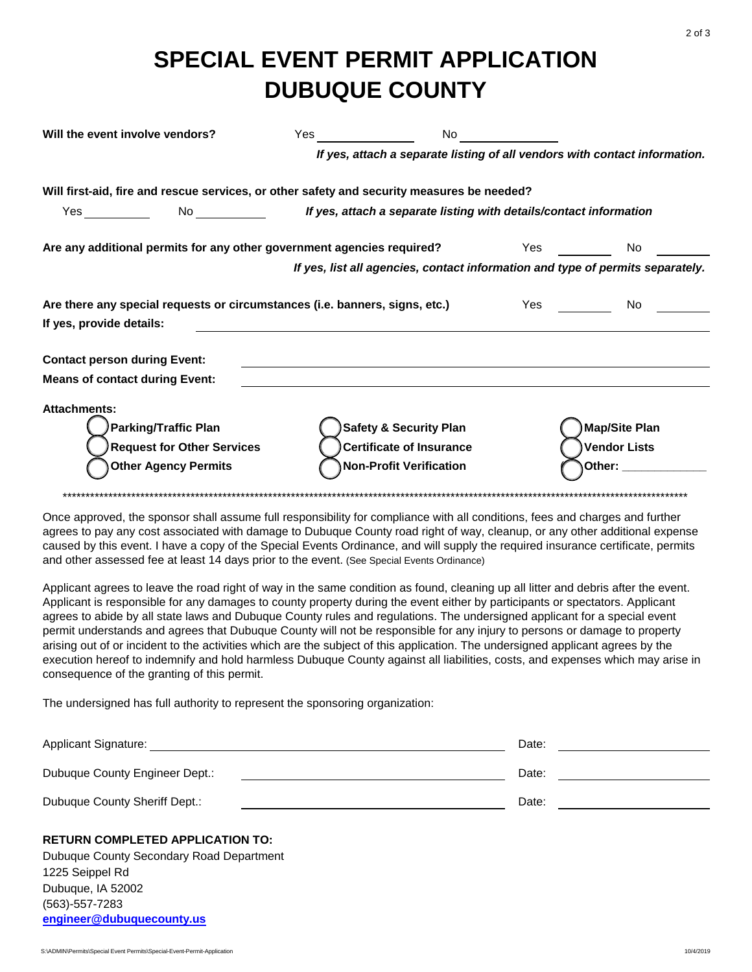## **SPECIAL EVENT PERMIT APPLICATION DUBUQUE COUNTY**

| Will the event involve vendors?                                                                                        | <b>Yes</b> and the set of the set of the set of the set of the set of the set of the set of the set of the set of the set of the set of the set of the set of the set of the set of the set of the set of the set of the set of the | No the set                                                                                             |                                                                                                                                                                                                                                     |                                                              |  |
|------------------------------------------------------------------------------------------------------------------------|-------------------------------------------------------------------------------------------------------------------------------------------------------------------------------------------------------------------------------------|--------------------------------------------------------------------------------------------------------|-------------------------------------------------------------------------------------------------------------------------------------------------------------------------------------------------------------------------------------|--------------------------------------------------------------|--|
|                                                                                                                        | If yes, attach a separate listing of all vendors with contact information.                                                                                                                                                          |                                                                                                        |                                                                                                                                                                                                                                     |                                                              |  |
| Will first-aid, fire and rescue services, or other safety and security measures be needed?                             |                                                                                                                                                                                                                                     |                                                                                                        |                                                                                                                                                                                                                                     |                                                              |  |
|                                                                                                                        | No <b>the off states of the Separate listing with details/contact information</b>                                                                                                                                                   |                                                                                                        |                                                                                                                                                                                                                                     |                                                              |  |
| Are any additional permits for any other government agencies required? The Mass Yes                                    |                                                                                                                                                                                                                                     |                                                                                                        |                                                                                                                                                                                                                                     | No.                                                          |  |
|                                                                                                                        |                                                                                                                                                                                                                                     | If yes, list all agencies, contact information and type of permits separately.                         |                                                                                                                                                                                                                                     |                                                              |  |
| Are there any special requests or circumstances (i.e. banners, signs, etc.)                                            |                                                                                                                                                                                                                                     |                                                                                                        | <b>Yes</b> and the set of the set of the set of the set of the set of the set of the set of the set of the set of the set of the set of the set of the set of the set of the set of the set of the set of the set of the set of the | No.                                                          |  |
| If yes, provide details:                                                                                               |                                                                                                                                                                                                                                     |                                                                                                        |                                                                                                                                                                                                                                     |                                                              |  |
| <b>Contact person during Event:</b>                                                                                    |                                                                                                                                                                                                                                     |                                                                                                        |                                                                                                                                                                                                                                     |                                                              |  |
| <b>Means of contact during Event:</b>                                                                                  |                                                                                                                                                                                                                                     |                                                                                                        |                                                                                                                                                                                                                                     |                                                              |  |
| <b>Attachments:</b><br><b>Parking/Traffic Plan</b><br><b>Request for Other Services</b><br><b>Other Agency Permits</b> |                                                                                                                                                                                                                                     | <b>Safety &amp; Security Plan</b><br><b>Certificate of Insurance</b><br><b>Non-Profit Verification</b> |                                                                                                                                                                                                                                     | <b>Map/Site Plan</b><br><b>Vendor Lists</b><br>Other: $\_\_$ |  |

Once approved, the sponsor shall assume full responsibility for compliance with all conditions, fees and charges and further agrees to pay any cost associated with damage to Dubugue County road right of way, cleanup, or any other additional expense caused by this event. I have a copy of the Special Events Ordinance, and will supply the required insurance certificate, permits and other assessed fee at least 14 days prior to the event. (See Special Events Ordinance)

Applicant agrees to leave the road right of way in the same condition as found, cleaning up all litter and debris after the event. Applicant is responsible for any damages to county property during the event either by participants or spectators. Applicant agrees to abide by all state laws and Dubuque County rules and regulations. The undersigned applicant for a special event permit understands and agrees that Dubuque County will not be responsible for any injury to persons or damage to property arising out of or incident to the activities which are the subject of this application. The undersigned applicant agrees by the execution hereof to indemnify and hold harmless Dubuque County against all liabilities, costs, and expenses which may arise in consequence of the granting of this permit.

The undersigned has full authority to represent the sponsoring organization:

| <b>Applicant Signature:</b>    | Date: |  |
|--------------------------------|-------|--|
| Dubuque County Engineer Dept.: | Date: |  |
| Dubuque County Sheriff Dept.:  | Date: |  |

## **RETURN COMPLETED APPLICATION TO:**

Dubuque County Secondary Road Department 1225 Seippel Rd Dubuque, IA 52002 (563)-557-7283 engineer@dubuquecounty.us